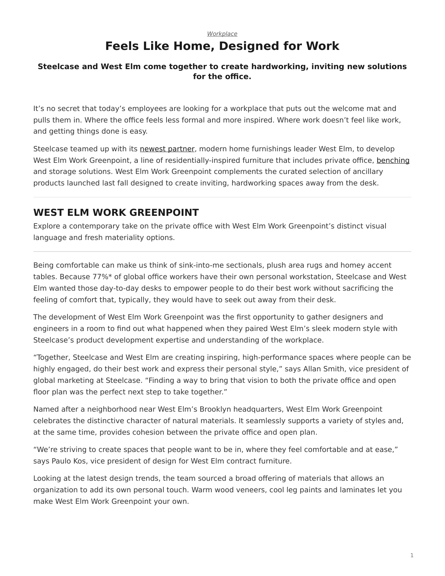## *[Workplace](https://www.steelcase.com/research/topics/workplace/)*

## **Feels Like Home, Designed for Work**

## <span id="page-0-0"></span>**Steelcase and West Elm come together to create hardworking, inviting new solutions for the office.**

It's no secret that today's employees are looking for a workplace that puts out the welcome mat and pulls them in. Where the office feels less formal and more inspired. Where work doesn't feel like work, and getting things done is easy.

Steelcase teamed up with its [newest partner,](https://www.steelcase.com/research/articles/topics/brand/introducing-west-elm-work-collection/) modern home furnishings leader West Elm, to develop West Elm Work Greenpoint, a line of residentially-inspired furniture that includes private office, [benching](https://www.steelcase.com/products/benching/) and storage solutions. West Elm Work Greenpoint complements the curated selection of ancillary products launched last fall designed to create inviting, hardworking spaces away from the desk.

## **WEST ELM WORK GREENPOINT**

Explore a contemporary take on the private office with West Elm Work Greenpoint's distinct visual language and fresh materiality options.

Being comfortable can make us think of sink-into-me sectionals, plush area rugs and homey accent tables. Because 77%\* of global office workers have their own personal workstation, Steelcase and West Elm wanted those day-to-day desks to empower people to do their best work without sacrificing the feeling of comfort that, typically, they would have to seek out away from their desk.

The development of West Elm Work Greenpoint was the first opportunity to gather designers and engineers in a room to find out what happened when they paired West Elm's sleek modern style with Steelcase's product development expertise and understanding of the workplace.

"Together, Steelcase and West Elm are creating inspiring, high-performance spaces where people can be highly engaged, do their best work and express their personal style," says Allan Smith, vice president of global marketing at Steelcase. "Finding a way to bring that vision to both the private office and open floor plan was the perfect next step to take together."

Named after a neighborhood near West Elm's Brooklyn headquarters, West Elm Work Greenpoint celebrates the distinctive character of natural materials. It seamlessly supports a variety of styles and, at the same time, provides cohesion between the private office and open plan.

"We're striving to create spaces that people want to be in, where they feel comfortable and at ease," says Paulo Kos, vice president of design for West Elm contract furniture.

Looking at the latest design trends, the team sourced a broad offering of materials that allows an organization to add its own personal touch. Warm wood veneers, cool leg paints and laminates let you make West Elm Work Greenpoint your own.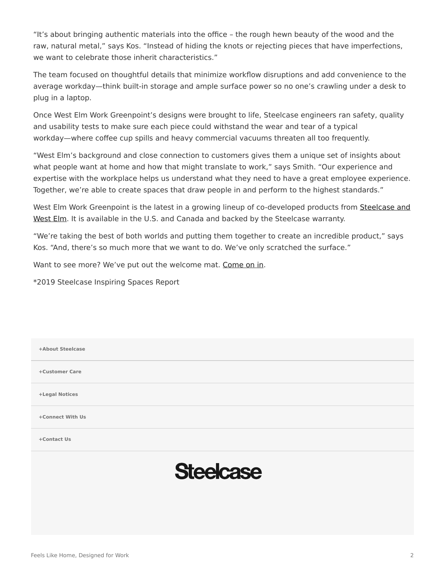"It's about bringing authentic materials into the office – the rough hewn beauty of the wood and the raw, natural metal," says Kos. "Instead of hiding the knots or rejecting pieces that have imperfections, we want to celebrate those inherit characteristics."

The team focused on thoughtful details that minimize workflow disruptions and add convenience to the average workday—think built-in storage and ample surface power so no one's crawling under a desk to plug in a laptop.

Once West Elm Work Greenpoint's designs were brought to life, Steelcase engineers ran safety, quality and usability tests to make sure each piece could withstand the wear and tear of a typical workday—where coffee cup spills and heavy commercial vacuums threaten all too frequently.

"West Elm's background and close connection to customers gives them a unique set of insights about what people want at home and how that might translate to work," says Smith. "Our experience and expertise with the workplace helps us understand what they need to have a great employee experience. Together, we're able to create spaces that draw people in and perform to the highest standards."

West Elm Work Greenpoint is the latest in a growing lineup of co-developed products from [Steelcase and](https://www.steelcase.com/brands/partners/west-elm/) [West Elm.](https://www.steelcase.com/brands/partners/west-elm/) It is available in the U.S. and Canada and backed by the Steelcase warranty.

"We're taking the best of both worlds and putting them together to create an incredible product," says Kos. "And, there's so much more that we want to do. We've only scratched the surface."

Want to see more? We've put out the welcome mat. [Come on in.](https://www.steelcase.com/products/desks/west-elm-work-greenpoint-private-office/)

\*2019 Steelcase Inspiring Spaces Report

| +About Steelcase |                  |  |
|------------------|------------------|--|
| +Customer Care   |                  |  |
| +Legal Notices   |                  |  |
| +Connect With Us |                  |  |
| +Contact Us      |                  |  |
|                  | <b>Steelcase</b> |  |
|                  |                  |  |